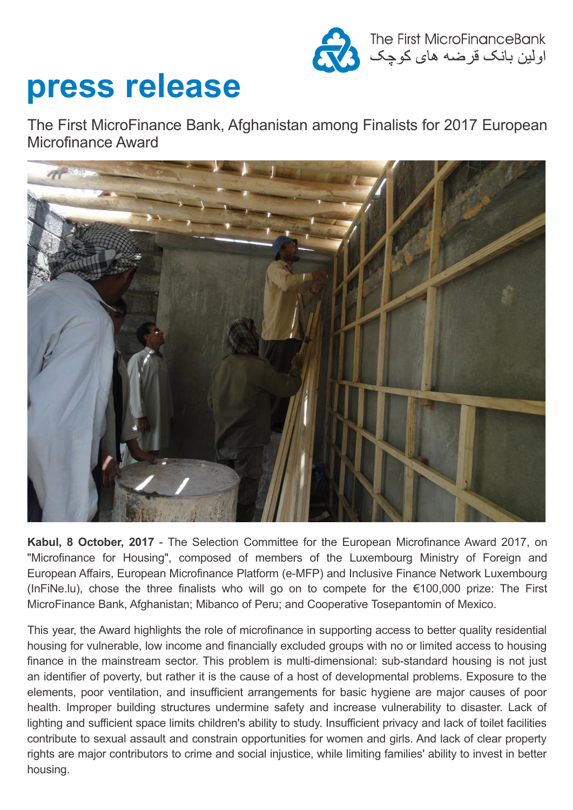

## **press release**

The First MicroFinance Bank, Afghanistan among Finalists for 2017 European Microfinance Award



**Kabul, 8 October, 2017** - The Selection Committee for the European Microfinance Award 2017, on "Microfinance for Housing", composed of members of the Luxembourg Ministry of Foreign and European Affairs, European Microfinance Platform (e-MFP) and Inclusive Finance Network Luxembourg (InFiNe.lu), chose the three finalists who will go on to compete for the €100,000 prize: The First MicroFinance Bank, Afghanistan; Mibanco of Peru; and Cooperative Tosepantomin of Mexico.

This year, the Award highlights the role of microfinance in supporting access to better quality residential housing for vulnerable, low income and financially excluded groups with no or limited access to housing finance in the mainstream sector. This problem is multi-dimensional: sub-standard housing is not just an identifier of poverty, but rather it is the cause of a host of developmental problems. Exposure to the elements, poor ventilation, and insufficient arrangements for basic hygiene are major causes of poor health. Improper building structures undermine safety and increase vulnerability to disaster. Lack of lighting and sufficient space limits children's ability to study. Insufficient privacy and lack of toilet facilities contribute to sexual assault and constrain opportunities for women and girls. And lack of clear property rights are major contributors to crime and social injustice, while limiting families' ability to invest in better housing.